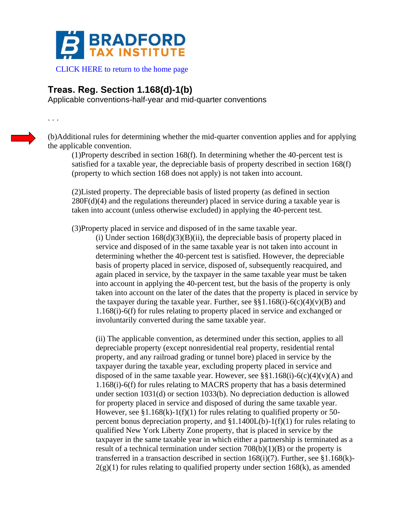

## **Treas. Reg. Section 1.168(d)-1(b)**

Applicable conventions-half-year and mid-quarter conventions

. . .

(b)Additional rules for determining whether the mid-quarter convention applies and for applying the applicable convention.

(1)Property described in section 168(f). In determining whether the 40-percent test is satisfied for a taxable year, the depreciable basis of property described in section 168(f) (property to which section 168 does not apply) is not taken into account.

(2)Listed property. The depreciable basis of listed property (as defined in section 280F(d)(4) and the regulations thereunder) placed in service during a taxable year is taken into account (unless otherwise excluded) in applying the 40-percent test.

(3)Property placed in service and disposed of in the same taxable year.

(i) Under section  $168(d)(3)(B)(ii)$ , the depreciable basis of property placed in service and disposed of in the same taxable year is not taken into account in determining whether the 40-percent test is satisfied. However, the depreciable basis of property placed in service, disposed of, subsequently reacquired, and again placed in service, by the taxpayer in the same taxable year must be taken into account in applying the 40-percent test, but the basis of the property is only taken into account on the later of the dates that the property is placed in service by the taxpayer during the taxable year. Further, see §§1.168(i)-6(c)(4)(v)(B) and 1.168(i)-6(f) for rules relating to property placed in service and exchanged or involuntarily converted during the same taxable year.

(ii) The applicable convention, as determined under this section, applies to all depreciable property (except nonresidential real property, residential rental property, and any railroad grading or tunnel bore) placed in service by the taxpayer during the taxable year, excluding property placed in service and disposed of in the same taxable year. However, see  $\S$ §1.168(i)-6(c)(4)(v)(A) and 1.168(i)-6(f) for rules relating to MACRS property that has a basis determined under section 1031(d) or section 1033(b). No depreciation deduction is allowed for property placed in service and disposed of during the same taxable year. However, see  $\S1.168(k)-1(f)(1)$  for rules relating to qualified property or 50percent bonus depreciation property, and  $$1.1400L(b)-1(f)(1)$  for rules relating to qualified New York Liberty Zone property, that is placed in service by the taxpayer in the same taxable year in which either a partnership is terminated as a result of a technical termination under section  $708(b)(1)(B)$  or the property is transferred in a transaction described in section  $168(i)(7)$ . Further, see §1.168(k)- $2(g)(1)$  for rules relating to qualified property under section 168 $(k)$ , as amended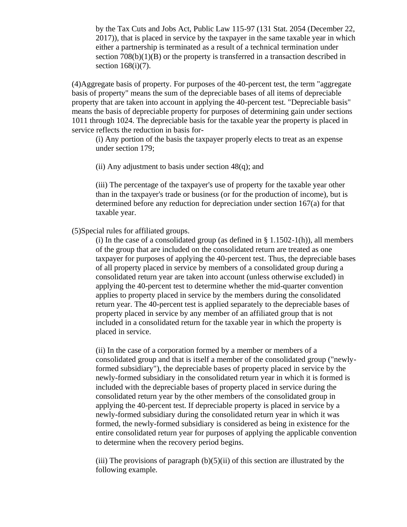by the Tax Cuts and Jobs Act, Public Law 115-97 (131 Stat. 2054 (December 22, 2017)), that is placed in service by the taxpayer in the same taxable year in which either a partnership is terminated as a result of a technical termination under section  $708(b)(1)(B)$  or the property is transferred in a transaction described in section 168(i)(7).

(4)Aggregate basis of property. For purposes of the 40-percent test, the term "aggregate basis of property" means the sum of the depreciable bases of all items of depreciable property that are taken into account in applying the 40-percent test. "Depreciable basis" means the basis of depreciable property for purposes of determining gain under sections 1011 through 1024. The depreciable basis for the taxable year the property is placed in service reflects the reduction in basis for-

(i) Any portion of the basis the taxpayer properly elects to treat as an expense under section 179;

(ii) Any adjustment to basis under section  $48(q)$ ; and

(iii) The percentage of the taxpayer's use of property for the taxable year other than in the taxpayer's trade or business (or for the production of income), but is determined before any reduction for depreciation under section 167(a) for that taxable year.

(5)Special rules for affiliated groups.

(i) In the case of a consolidated group (as defined in  $\S$  1.1502-1(h)), all members of the group that are included on the consolidated return are treated as one taxpayer for purposes of applying the 40-percent test. Thus, the depreciable bases of all property placed in service by members of a consolidated group during a consolidated return year are taken into account (unless otherwise excluded) in applying the 40-percent test to determine whether the mid-quarter convention applies to property placed in service by the members during the consolidated return year. The 40-percent test is applied separately to the depreciable bases of property placed in service by any member of an affiliated group that is not included in a consolidated return for the taxable year in which the property is placed in service.

(ii) In the case of a corporation formed by a member or members of a consolidated group and that is itself a member of the consolidated group ("newlyformed subsidiary"), the depreciable bases of property placed in service by the newly-formed subsidiary in the consolidated return year in which it is formed is included with the depreciable bases of property placed in service during the consolidated return year by the other members of the consolidated group in applying the 40-percent test. If depreciable property is placed in service by a newly-formed subsidiary during the consolidated return year in which it was formed, the newly-formed subsidiary is considered as being in existence for the entire consolidated return year for purposes of applying the applicable convention to determine when the recovery period begins.

(iii) The provisions of paragraph  $(b)(5)(ii)$  of this section are illustrated by the following example.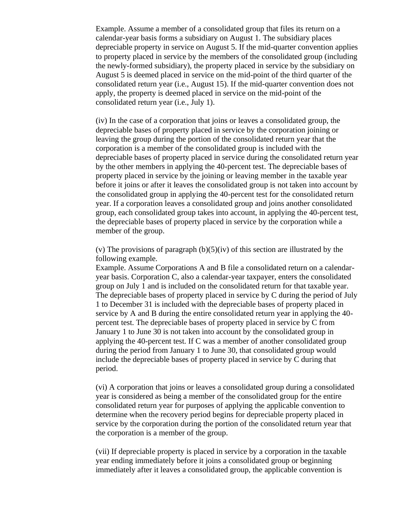Example. Assume a member of a consolidated group that files its return on a calendar-year basis forms a subsidiary on August 1. The subsidiary places depreciable property in service on August 5. If the mid-quarter convention applies to property placed in service by the members of the consolidated group (including the newly-formed subsidiary), the property placed in service by the subsidiary on August 5 is deemed placed in service on the mid-point of the third quarter of the consolidated return year (i.e., August 15). If the mid-quarter convention does not apply, the property is deemed placed in service on the mid-point of the consolidated return year (i.e., July 1).

(iv) In the case of a corporation that joins or leaves a consolidated group, the depreciable bases of property placed in service by the corporation joining or leaving the group during the portion of the consolidated return year that the corporation is a member of the consolidated group is included with the depreciable bases of property placed in service during the consolidated return year by the other members in applying the 40-percent test. The depreciable bases of property placed in service by the joining or leaving member in the taxable year before it joins or after it leaves the consolidated group is not taken into account by the consolidated group in applying the 40-percent test for the consolidated return year. If a corporation leaves a consolidated group and joins another consolidated group, each consolidated group takes into account, in applying the 40-percent test, the depreciable bases of property placed in service by the corporation while a member of the group.

(v) The provisions of paragraph  $(b)(5)(iv)$  of this section are illustrated by the following example.

Example. Assume Corporations A and B file a consolidated return on a calendaryear basis. Corporation C, also a calendar-year taxpayer, enters the consolidated group on July 1 and is included on the consolidated return for that taxable year. The depreciable bases of property placed in service by C during the period of July 1 to December 31 is included with the depreciable bases of property placed in service by A and B during the entire consolidated return year in applying the 40 percent test. The depreciable bases of property placed in service by C from January 1 to June 30 is not taken into account by the consolidated group in applying the 40-percent test. If C was a member of another consolidated group during the period from January 1 to June 30, that consolidated group would include the depreciable bases of property placed in service by C during that period.

(vi) A corporation that joins or leaves a consolidated group during a consolidated year is considered as being a member of the consolidated group for the entire consolidated return year for purposes of applying the applicable convention to determine when the recovery period begins for depreciable property placed in service by the corporation during the portion of the consolidated return year that the corporation is a member of the group.

(vii) If depreciable property is placed in service by a corporation in the taxable year ending immediately before it joins a consolidated group or beginning immediately after it leaves a consolidated group, the applicable convention is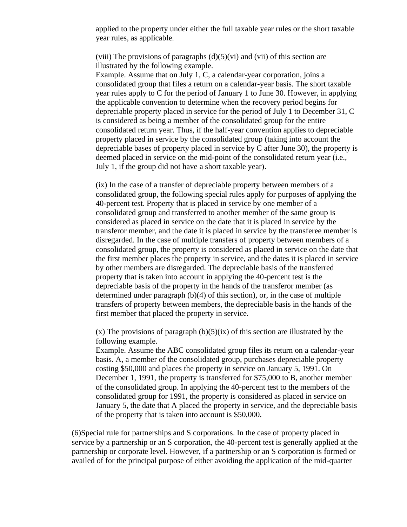applied to the property under either the full taxable year rules or the short taxable year rules, as applicable.

(viii) The provisions of paragraphs  $(d)(5)(vi)$  and (vii) of this section are illustrated by the following example.

Example. Assume that on July 1, C, a calendar-year corporation, joins a consolidated group that files a return on a calendar-year basis. The short taxable year rules apply to C for the period of January 1 to June 30. However, in applying the applicable convention to determine when the recovery period begins for depreciable property placed in service for the period of July 1 to December 31, C is considered as being a member of the consolidated group for the entire consolidated return year. Thus, if the half-year convention applies to depreciable property placed in service by the consolidated group (taking into account the depreciable bases of property placed in service by C after June 30), the property is deemed placed in service on the mid-point of the consolidated return year (i.e., July 1, if the group did not have a short taxable year).

(ix) In the case of a transfer of depreciable property between members of a consolidated group, the following special rules apply for purposes of applying the 40-percent test. Property that is placed in service by one member of a consolidated group and transferred to another member of the same group is considered as placed in service on the date that it is placed in service by the transferor member, and the date it is placed in service by the transferee member is disregarded. In the case of multiple transfers of property between members of a consolidated group, the property is considered as placed in service on the date that the first member places the property in service, and the dates it is placed in service by other members are disregarded. The depreciable basis of the transferred property that is taken into account in applying the 40-percent test is the depreciable basis of the property in the hands of the transferor member (as determined under paragraph (b)(4) of this section), or, in the case of multiple transfers of property between members, the depreciable basis in the hands of the first member that placed the property in service.

 $(x)$  The provisions of paragraph  $(b)(5)(ix)$  of this section are illustrated by the following example.

Example. Assume the ABC consolidated group files its return on a calendar-year basis. A, a member of the consolidated group, purchases depreciable property costing \$50,000 and places the property in service on January 5, 1991. On December 1, 1991, the property is transferred for \$75,000 to B, another member of the consolidated group. In applying the 40-percent test to the members of the consolidated group for 1991, the property is considered as placed in service on January 5, the date that A placed the property in service, and the depreciable basis of the property that is taken into account is \$50,000.

(6)Special rule for partnerships and S corporations. In the case of property placed in service by a partnership or an S corporation, the 40-percent test is generally applied at the partnership or corporate level. However, if a partnership or an S corporation is formed or availed of for the principal purpose of either avoiding the application of the mid-quarter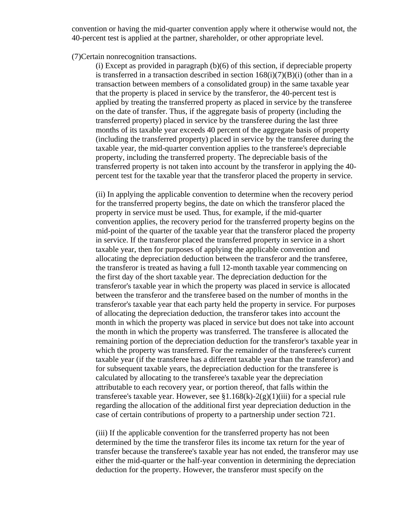convention or having the mid-quarter convention apply where it otherwise would not, the 40-percent test is applied at the partner, shareholder, or other appropriate level.

## (7)Certain nonrecognition transactions.

(i) Except as provided in paragraph (b)(6) of this section, if depreciable property is transferred in a transaction described in section  $168(i)(7)(B)(i)$  (other than in a transaction between members of a consolidated group) in the same taxable year that the property is placed in service by the transferor, the 40-percent test is applied by treating the transferred property as placed in service by the transferee on the date of transfer. Thus, if the aggregate basis of property (including the transferred property) placed in service by the transferee during the last three months of its taxable year exceeds 40 percent of the aggregate basis of property (including the transferred property) placed in service by the transferee during the taxable year, the mid-quarter convention applies to the transferee's depreciable property, including the transferred property. The depreciable basis of the transferred property is not taken into account by the transferor in applying the 40 percent test for the taxable year that the transferor placed the property in service.

(ii) In applying the applicable convention to determine when the recovery period for the transferred property begins, the date on which the transferor placed the property in service must be used. Thus, for example, if the mid-quarter convention applies, the recovery period for the transferred property begins on the mid-point of the quarter of the taxable year that the transferor placed the property in service. If the transferor placed the transferred property in service in a short taxable year, then for purposes of applying the applicable convention and allocating the depreciation deduction between the transferor and the transferee, the transferor is treated as having a full 12-month taxable year commencing on the first day of the short taxable year. The depreciation deduction for the transferor's taxable year in which the property was placed in service is allocated between the transferor and the transferee based on the number of months in the transferor's taxable year that each party held the property in service. For purposes of allocating the depreciation deduction, the transferor takes into account the month in which the property was placed in service but does not take into account the month in which the property was transferred. The transferee is allocated the remaining portion of the depreciation deduction for the transferor's taxable year in which the property was transferred. For the remainder of the transferee's current taxable year (if the transferee has a different taxable year than the transferor) and for subsequent taxable years, the depreciation deduction for the transferee is calculated by allocating to the transferee's taxable year the depreciation attributable to each recovery year, or portion thereof, that falls within the transferee's taxable year. However, see  $\S1.168(k)$ -2(g)(1)(iii) for a special rule regarding the allocation of the additional first year depreciation deduction in the case of certain contributions of property to a partnership under section 721.

(iii) If the applicable convention for the transferred property has not been determined by the time the transferor files its income tax return for the year of transfer because the transferee's taxable year has not ended, the transferor may use either the mid-quarter or the half-year convention in determining the depreciation deduction for the property. However, the transferor must specify on the